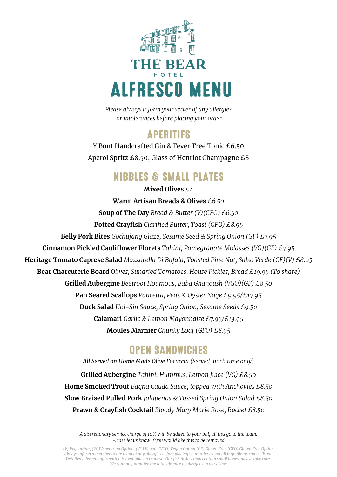

*Please always inform your server of any allergies or intolerances before placing your order*

## **APFRITIFS**

Y Bont Handcrafted Gin & Fever Tree Tonic £6.50 Aperol Spritz £8.50, Glass of Henriot Champagne £8

## **NIBBLES & SMALL PLATES**

**Mixed Olives** *£4* **Warm Artisan Breads & Olives** *£6.50*  **Soup of The Day** *Bread & Butter (V)(GFO) £6.50* **Potted Crayfish** *Clarified Butter, Toast (GFO) £8.95* **Belly Pork Bites** *Gochujang Glaze, Sesame Seed & Spring Onion (GF) £7.95* **Cinnamon Pickled Cauliflower Florets** *Tahini, Pomegranate Molasses (VG)(GF) £7.95* **Heritage Tomato Caprese Salad** *Mozzarella Di Bufala, Toasted Pine Nut, Salsa Verde (GF)(V) £8.95* **Bear Charcuterie Board** *Olives, Sundried Tomatoes, House Pickles, Bread £19.95 (To share)* **Grilled Aubergine** *Beetroot Houmous, Baba Ghanoush (VGO)(GF) £8.50* **Pan Seared Scallops** *Pancetta, Peas & Oyster Nage £9.95/£17.95* **Duck Salad** *Hoi-Sin Sauce, Spring Onion, Sesame Seeds £9.50* **Calamari** *Garlic & Lemon Mayonnaise £7.95/£13.95* **Moules Marnier** *Chunky Loaf (GFO) £8.95*

#### **OPEN SANDWICHES**

*All Served on Home Made Olive Focaccia (Served lunch time only)* **Grilled Aubergine** *Tahini, Hummus, Lemon Juice (VG) £8.50* **Home Smoked Trout** *Bagna Cauda Sauce, topped with Anchovies £8.50* **Slow Braised Pulled Pork** *Jalapenos & Tossed Spring Onion Salad £8.50* **Prawn & Crayfish Cocktail** *Bloody Mary Marie Rose, Rocket £8.50*

*A discretionary service charge of 10% will be added to your bill, all tips go to the team. Please let us know if you would like this to be removed.* 

*(V) Vegetarian, (VO)Vegetarian Option, (VG) Vegan, (VGO) Vegan Option (GF) Gluten Free (GFO) Gluten Free Option Always inform a member of the team of any allergies before placing your order as not all ingredients can be listed. Detailed allergen information is available on request. Our fish dishes may contain small bones, please take care. We cannot guarantee the total absence of allergens in our dishes*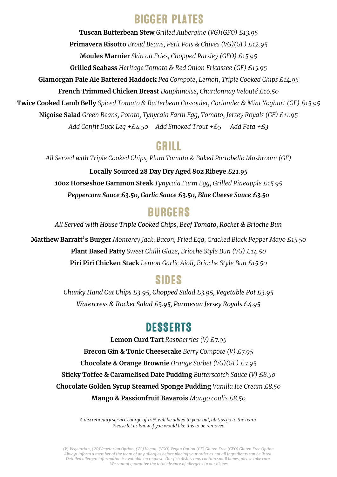### **BIGGER PLATES**

**Tuscan Butterbean Stew** *Grilled Aubergine (VG)(GFO) £13.95* **Primavera Risotto** *Broad Beans, Petit Pois & Chives (VG)(GF) £12.95* **Moules Marnier** *Skin on Fries, Chopped Parsley (GFO) £15.95* **Grilled Seabass** *Heritage Tomato & Red Onion Fricassee (GF) £15.95* **Glamorgan Pale Ale Battered Haddock** *Pea Compote, Lemon, Triple Cooked Chips £14.95* **French Trimmed Chicken Breast** *Dauphinoise, Chardonnay Velouté £16.50* **Twice Cooked Lamb Belly** *Spiced Tomato & Butterbean Cassoulet, Coriander & Mint Yoghurt (GF) £15.95* **Niçoise Salad** *Green Beans, Potato, Tynycaia Farm Egg, Tomato, Jersey Royals (GF) £11.95 Add Confit Duck Leg +£4.50 Add Smoked Trout +£5 Add Feta +£3*

#### GRILL

*All Served with Triple Cooked Chips, Plum Tomato & Baked Portobello Mushroom (GF)*

**Locally Sourced 28 Day Dry Aged 8oz Ribeye** *£21.95* **10oz Horseshoe Gammon Steak** *Tynycaia Farm Egg, Grilled Pineapple £15.95 Peppercorn Sauce £3.50, Garlic Sauce £3.50, Blue Cheese Sauce £3.50*

## **BURGERS**

*All Served with House Triple Cooked Chips, Beef Tomato, Rocket & Brioche Bun*

**Matthew Barratt's Burger** *Monterey Jack, Bacon, Fried Egg, Cracked Black Pepper Mayo £15.50*  **Plant Based Patty** *Sweet Chilli Glaze, Brioche Style Bun (VG) £14.50* **Piri Piri Chicken Stack** *Lemon Garlic Aioli, Brioche Style Bun £15.50*

## **SIDES**

*Chunky Hand Cut Chips £3.95, Chopped Salad £3.95, Vegetable Pot £3.95 Watercress & Rocket Salad £3.95, Parmesan Jersey Royals £4.95*

## **DESSERTS**

**Lemon Curd Tart** *Raspberries (V) £7.95* **Brecon Gin & Tonic Cheesecake** *Berry Compote (V) £7.95* **Chocolate & Orange Brownie** *Orange Sorbet (VG)(GF) £7.95* **Sticky Toffee & Caramelised Date Pudding** *Butterscotch Sauce (V) £8.50* **Chocolate Golden Syrup Steamed Sponge Pudding** *Vanilla Ice Cream £8.50* **Mango & Passionfruit Bavarois** *Mango coulis £8.50*

> *A discretionary service charge of 10% will be added to your bill, all tips go to the team. Please let us know if you would like this to be removed.*

*(V) Vegetarian, (VO)Vegetarian Option, (VG) Vegan, (VGO) Vegan Option (GF) Gluten Free (GFO) Gluten Free Option Always inform a member of the team of any allergies before placing your order as not all ingredients can be listed. Detailed allergen information is available on request. Our fish dishes may contain small bones, please take care. We cannot guarantee the total absence of allergens in our dishes*